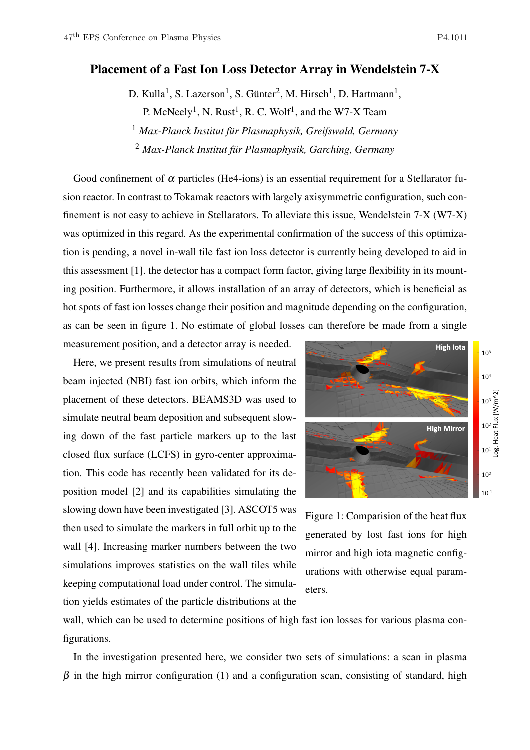## Placement of a Fast Ion Loss Detector Array in Wendelstein 7-X

 $D.$  Kulla<sup>1</sup>, S. Lazerson<sup>1</sup>, S. Günter<sup>2</sup>, M. Hirsch<sup>1</sup>, D. Hartmann<sup>1</sup>, P. McNeely<sup>1</sup>, N. Rust<sup>1</sup>, R. C. Wolf<sup>1</sup>, and the W7-X Team <sup>1</sup> *Max-Planck Institut für Plasmaphysik, Greifswald, Germany* <sup>2</sup> *Max-Planck Institut für Plasmaphysik, Garching, Germany*

Good confinement of  $\alpha$  particles (He4-ions) is an essential requirement for a Stellarator fusion reactor. In contrast to Tokamak reactors with largely axisymmetric configuration, such confinement is not easy to achieve in Stellarators. To alleviate this issue, Wendelstein 7-X (W7-X) was optimized in this regard. As the experimental confirmation of the success of this optimization is pending, a novel in-wall tile fast ion loss detector is currently being developed to aid in this assessment [1]. the detector has a compact form factor, giving large flexibility in its mounting position. Furthermore, it allows installation of an array of detectors, which is beneficial as hot spots of fast ion losses change their position and magnitude depending on the configuration, as can be seen in figure 1. No estimate of global losses can therefore be made from a single

measurement position, and a detector array is needed.

Here, we present results from simulations of neutral beam injected (NBI) fast ion orbits, which inform the placement of these detectors. BEAMS3D was used to simulate neutral beam deposition and subsequent slowing down of the fast particle markers up to the last closed flux surface (LCFS) in gyro-center approximation. This code has recently been validated for its deposition model [2] and its capabilities simulating the slowing down have been investigated [3]. ASCOT5 was then used to simulate the markers in full orbit up to the wall [4]. Increasing marker numbers between the two simulations improves statistics on the wall tiles while keeping computational load under control. The simulation yields estimates of the particle distributions at the



Figure 1: Comparision of the heat flux generated by lost fast ions for high mirror and high iota magnetic configurations with otherwise equal parameters.

wall, which can be used to determine positions of high fast ion losses for various plasma configurations.

In the investigation presented here, we consider two sets of simulations: a scan in plasma  $β$  in the high mirror configuration (1) and a configuration scan, consisting of standard, high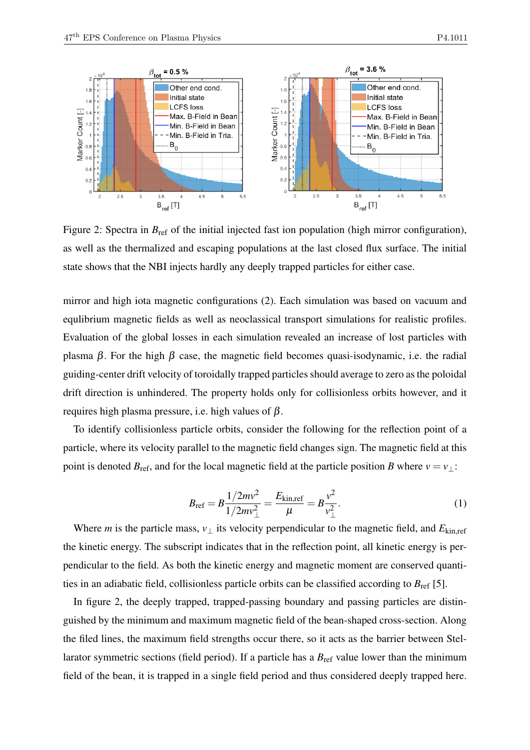

Figure 2: Spectra in  $B_{ref}$  of the initial injected fast ion population (high mirror configuration), as well as the thermalized and escaping populations at the last closed flux surface. The initial state shows that the NBI injects hardly any deeply trapped particles for either case.

mirror and high iota magnetic configurations (2). Each simulation was based on vacuum and equlibrium magnetic fields as well as neoclassical transport simulations for realistic profiles. Evaluation of the global losses in each simulation revealed an increase of lost particles with plasma β. For the high β case, the magnetic field becomes quasi-isodynamic, i.e. the radial guiding-center drift velocity of toroidally trapped particles should average to zero as the poloidal drift direction is unhindered. The property holds only for collisionless orbits however, and it requires high plasma pressure, i.e. high values of β.

To identify collisionless particle orbits, consider the following for the reflection point of a particle, where its velocity parallel to the magnetic field changes sign. The magnetic field at this point is denoted  $B_{\text{ref}}$ , and for the local magnetic field at the particle position *B* where  $v = v_{\perp}$ :

$$
B_{\rm ref} = B \frac{1/2mv^2}{1/2mv_{\perp}^2} = \frac{E_{\rm kin, ref}}{\mu} = B \frac{v^2}{v_{\perp}^2}.
$$
 (1)

Where *m* is the particle mass,  $v_{\perp}$  its velocity perpendicular to the magnetic field, and  $E_{\text{kin,ref}}$ the kinetic energy. The subscript indicates that in the reflection point, all kinetic energy is perpendicular to the field. As both the kinetic energy and magnetic moment are conserved quantities in an adiabatic field, collisionless particle orbits can be classified according to  $B_{\text{ref}}$  [5].

In figure 2, the deeply trapped, trapped-passing boundary and passing particles are distinguished by the minimum and maximum magnetic field of the bean-shaped cross-section. Along the filed lines, the maximum field strengths occur there, so it acts as the barrier between Stellarator symmetric sections (field period). If a particle has a  $B_{\text{ref}}$  value lower than the minimum field of the bean, it is trapped in a single field period and thus considered deeply trapped here.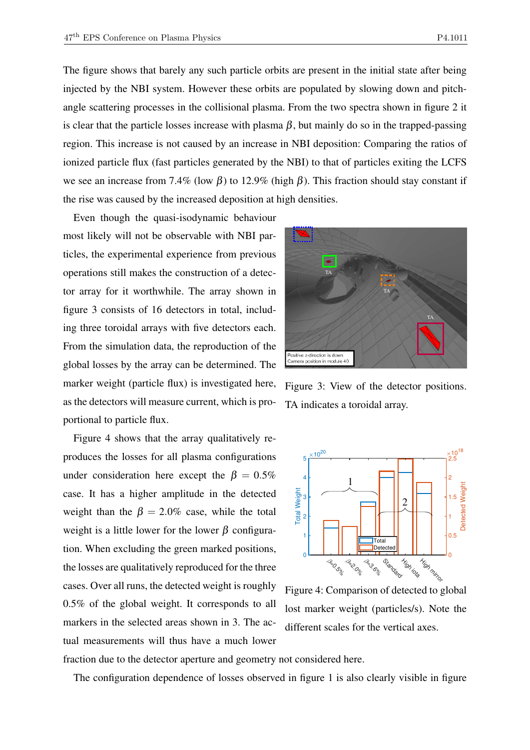The figure shows that barely any such particle orbits are present in the initial state after being injected by the NBI system. However these orbits are populated by slowing down and pitchangle scattering processes in the collisional plasma. From the two spectra shown in figure 2 it is clear that the particle losses increase with plasma  $\beta$ , but mainly do so in the trapped-passing region. This increase is not caused by an increase in NBI deposition: Comparing the ratios of ionized particle flux (fast particles generated by the NBI) to that of particles exiting the LCFS we see an increase from 7.4% (low  $\beta$ ) to 12.9% (high  $\beta$ ). This fraction should stay constant if the rise was caused by the increased deposition at high densities.

Even though the quasi-isodynamic behaviour most likely will not be observable with NBI particles, the experimental experience from previous operations still makes the construction of a detector array for it worthwhile. The array shown in figure 3 consists of 16 detectors in total, including three toroidal arrays with five detectors each. From the simulation data, the reproduction of the global losses by the array can be determined. The marker weight (particle flux) is investigated here, as the detectors will measure current, which is proportional to particle flux.

Figure 4 shows that the array qualitatively reproduces the losses for all plasma configurations under consideration here except the  $\beta = 0.5\%$ case. It has a higher amplitude in the detected weight than the  $\beta = 2.0\%$  case, while the total weight is a little lower for the lower  $\beta$  configuration. When excluding the green marked positions, the losses are qualitatively reproduced for the three cases. Over all runs, the detected weight is roughly 0.5% of the global weight. It corresponds to all markers in the selected areas shown in 3. The actual measurements will thus have a much lower



Figure 3: View of the detector positions. TA indicates a toroidal array.



Figure 4: Comparison of detected to global lost marker weight (particles/s). Note the different scales for the vertical axes.

fraction due to the detector aperture and geometry not considered here.

The configuration dependence of losses observed in figure 1 is also clearly visible in figure